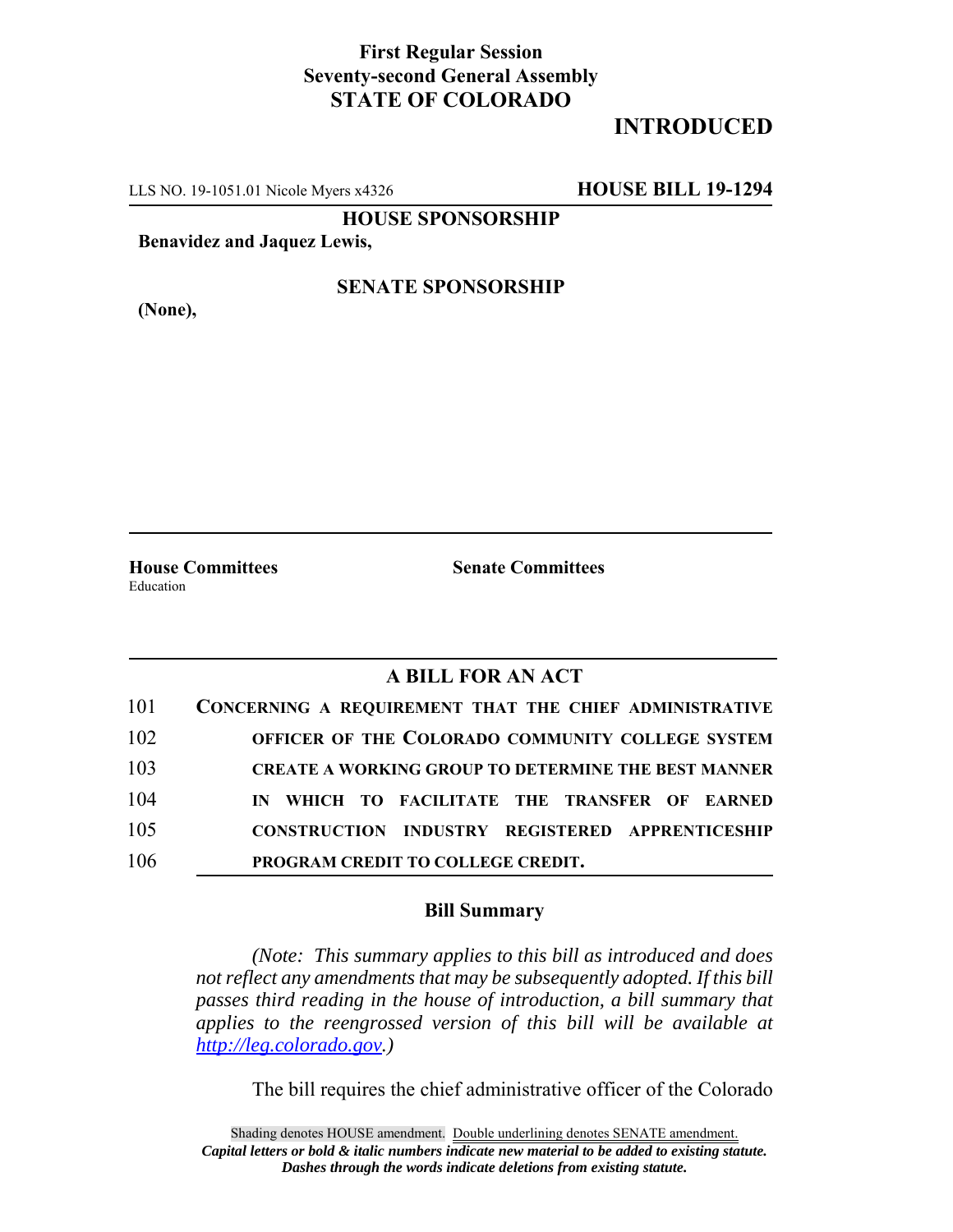## **First Regular Session Seventy-second General Assembly STATE OF COLORADO**

# **INTRODUCED**

LLS NO. 19-1051.01 Nicole Myers x4326 **HOUSE BILL 19-1294**

**HOUSE SPONSORSHIP**

**Benavidez and Jaquez Lewis,**

**(None),**

#### **SENATE SPONSORSHIP**

**House Committees Senate Committees** Education

### **A BILL FOR AN ACT**

| 101 | CONCERNING A REQUIREMENT THAT THE CHIEF ADMINISTRATIVE     |
|-----|------------------------------------------------------------|
| 102 | OFFICER OF THE COLORADO COMMUNITY COLLEGE SYSTEM           |
| 103 | <b>CREATE A WORKING GROUP TO DETERMINE THE BEST MANNER</b> |
| 104 | IN WHICH TO FACILITATE THE TRANSFER OF EARNED              |
| 105 | <b>CONSTRUCTION INDUSTRY REGISTERED APPRENTICESHIP</b>     |
| 106 | PROGRAM CREDIT TO COLLEGE CREDIT.                          |

#### **Bill Summary**

*(Note: This summary applies to this bill as introduced and does not reflect any amendments that may be subsequently adopted. If this bill passes third reading in the house of introduction, a bill summary that applies to the reengrossed version of this bill will be available at http://leg.colorado.gov.)*

The bill requires the chief administrative officer of the Colorado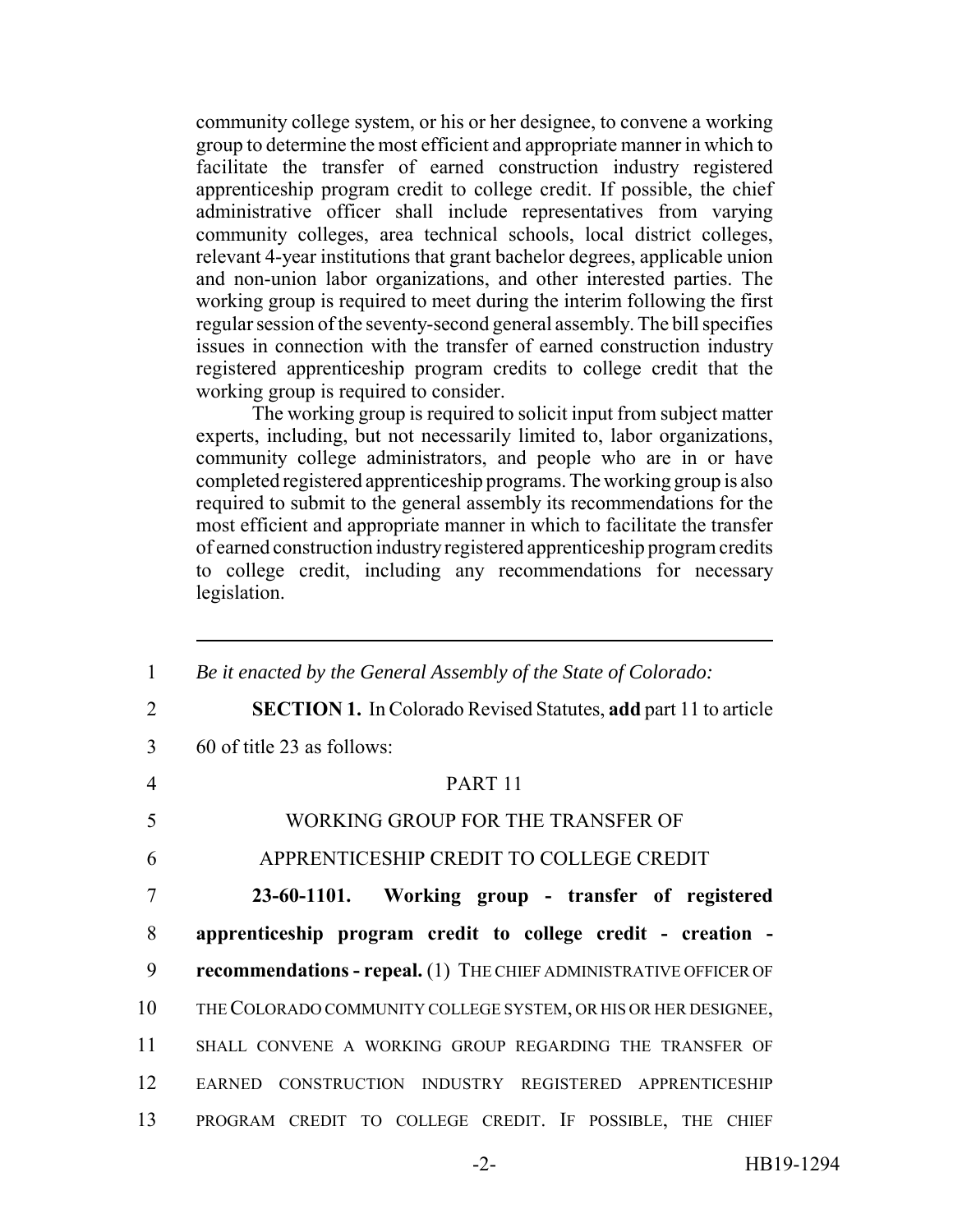community college system, or his or her designee, to convene a working group to determine the most efficient and appropriate manner in which to facilitate the transfer of earned construction industry registered apprenticeship program credit to college credit. If possible, the chief administrative officer shall include representatives from varying community colleges, area technical schools, local district colleges, relevant 4-year institutions that grant bachelor degrees, applicable union and non-union labor organizations, and other interested parties. The working group is required to meet during the interim following the first regular session of the seventy-second general assembly. The bill specifies issues in connection with the transfer of earned construction industry registered apprenticeship program credits to college credit that the working group is required to consider.

The working group is required to solicit input from subject matter experts, including, but not necessarily limited to, labor organizations, community college administrators, and people who are in or have completed registered apprenticeship programs. The working group is also required to submit to the general assembly its recommendations for the most efficient and appropriate manner in which to facilitate the transfer of earned construction industry registered apprenticeship program credits to college credit, including any recommendations for necessary legislation.

| 1              | Be it enacted by the General Assembly of the State of Colorado:          |
|----------------|--------------------------------------------------------------------------|
| $\overline{2}$ | <b>SECTION 1.</b> In Colorado Revised Statutes, add part 11 to article   |
| 3              | $60$ of title 23 as follows:                                             |
| $\overline{4}$ | PART <sub>11</sub>                                                       |
| 5              | WORKING GROUP FOR THE TRANSFER OF                                        |
| 6              | APPRENTICESHIP CREDIT TO COLLEGE CREDIT                                  |
| 7              | 23-60-1101. Working group - transfer of registered                       |
| 8              | apprenticeship program credit to college credit - creation -             |
| 9              | <b>recommendations - repeal.</b> (1) THE CHIEF ADMINISTRATIVE OFFICER OF |
| 10             | THE COLORADO COMMUNITY COLLEGE SYSTEM, OR HIS OR HER DESIGNEE,           |
| 11             | SHALL CONVENE A WORKING GROUP REGARDING THE TRANSFER OF                  |
| 12             | EARNED CONSTRUCTION INDUSTRY REGISTERED APPRENTICESHIP                   |
| 13             | PROGRAM CREDIT TO COLLEGE CREDIT. IF POSSIBLE, THE CHIEF                 |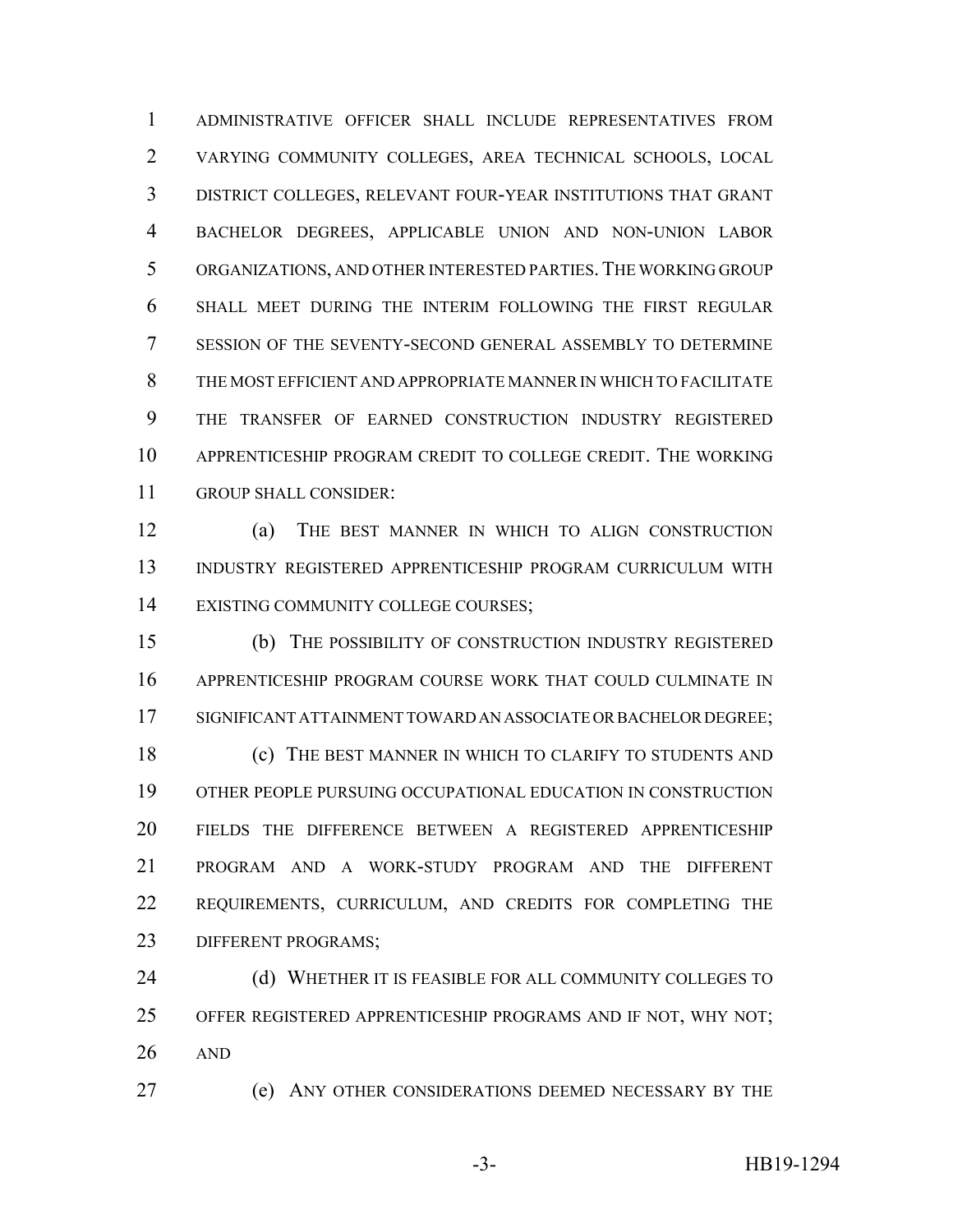ADMINISTRATIVE OFFICER SHALL INCLUDE REPRESENTATIVES FROM VARYING COMMUNITY COLLEGES, AREA TECHNICAL SCHOOLS, LOCAL DISTRICT COLLEGES, RELEVANT FOUR-YEAR INSTITUTIONS THAT GRANT BACHELOR DEGREES, APPLICABLE UNION AND NON-UNION LABOR ORGANIZATIONS, AND OTHER INTERESTED PARTIES.THE WORKING GROUP SHALL MEET DURING THE INTERIM FOLLOWING THE FIRST REGULAR SESSION OF THE SEVENTY-SECOND GENERAL ASSEMBLY TO DETERMINE THE MOST EFFICIENT AND APPROPRIATE MANNER IN WHICH TO FACILITATE THE TRANSFER OF EARNED CONSTRUCTION INDUSTRY REGISTERED APPRENTICESHIP PROGRAM CREDIT TO COLLEGE CREDIT. THE WORKING GROUP SHALL CONSIDER:

 (a) THE BEST MANNER IN WHICH TO ALIGN CONSTRUCTION INDUSTRY REGISTERED APPRENTICESHIP PROGRAM CURRICULUM WITH EXISTING COMMUNITY COLLEGE COURSES;

 (b) THE POSSIBILITY OF CONSTRUCTION INDUSTRY REGISTERED APPRENTICESHIP PROGRAM COURSE WORK THAT COULD CULMINATE IN SIGNIFICANT ATTAINMENT TOWARD AN ASSOCIATE OR BACHELOR DEGREE; **(c)** THE BEST MANNER IN WHICH TO CLARIFY TO STUDENTS AND OTHER PEOPLE PURSUING OCCUPATIONAL EDUCATION IN CONSTRUCTION FIELDS THE DIFFERENCE BETWEEN A REGISTERED APPRENTICESHIP PROGRAM AND A WORK-STUDY PROGRAM AND THE DIFFERENT REQUIREMENTS, CURRICULUM, AND CREDITS FOR COMPLETING THE DIFFERENT PROGRAMS;

**(d) WHETHER IT IS FEASIBLE FOR ALL COMMUNITY COLLEGES TO**  OFFER REGISTERED APPRENTICESHIP PROGRAMS AND IF NOT, WHY NOT; AND

(e) ANY OTHER CONSIDERATIONS DEEMED NECESSARY BY THE